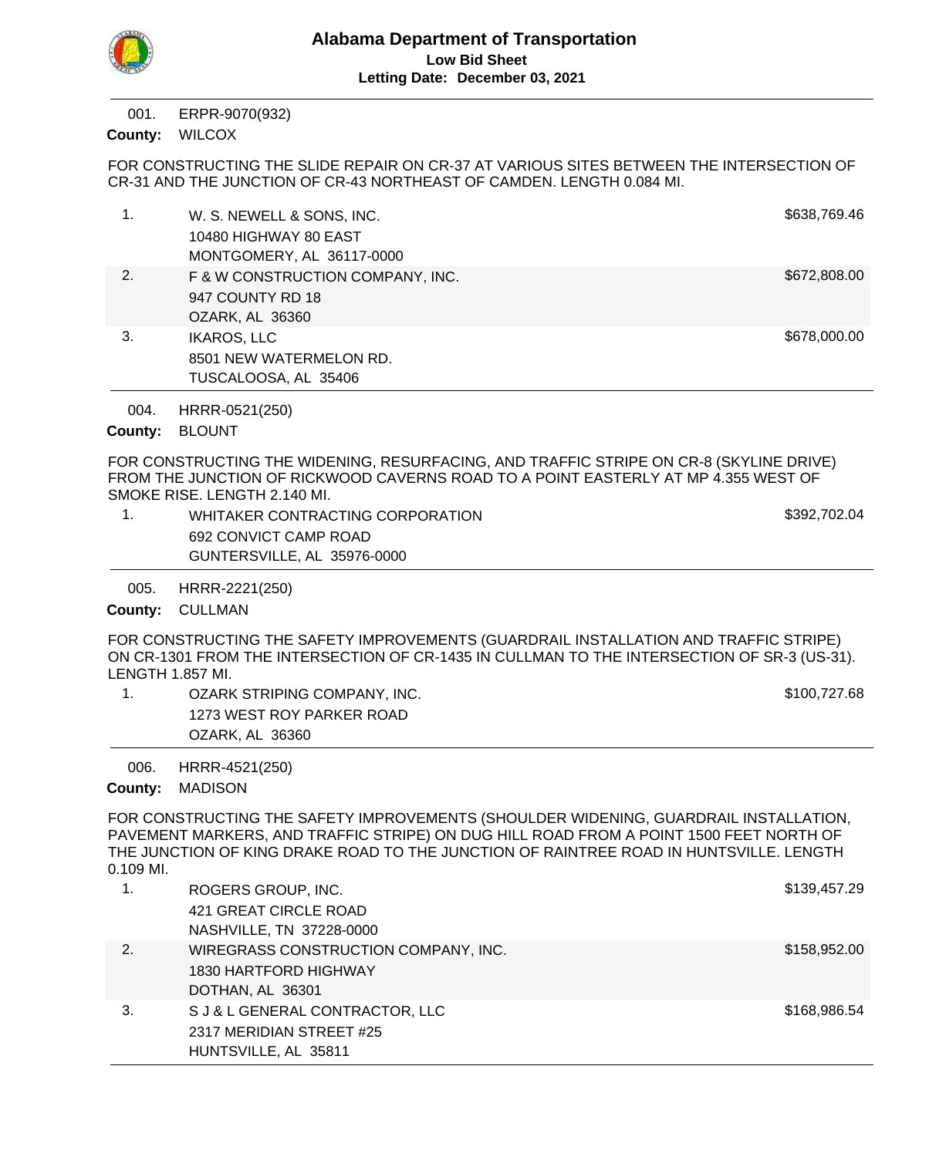

ERPR-9070(932) 001.

County: WILCOX

FOR CONSTRUCTING THE SLIDE REPAIR ON CR-37 AT VARIOUS SITES BETWEEN THE INTERSECTION OF CR-31 AND THE JUNCTION OF CR-43 NORTHEAST OF CAMDEN. LENGTH 0.084 MI.

| 1. | W. S. NEWELL & SONS, INC.<br>10480 HIGHWAY 80 EAST<br>MONTGOMERY, AL 36117-0000 | \$638,769.46 |
|----|---------------------------------------------------------------------------------|--------------|
| 2. | F & W CONSTRUCTION COMPANY, INC.<br>947 COUNTY RD 18<br>OZARK, AL 36360         | \$672,808.00 |
| 3. | <b>IKAROS, LLC</b><br>8501 NEW WATERMELON RD.<br>TUSCALOOSA, AL 35406           | \$678,000.00 |

HRRR-0521(250) 004.

County: BLOUNT

FOR CONSTRUCTING THE WIDENING, RESURFACING, AND TRAFFIC STRIPE ON CR-8 (SKYLINE DRIVE) FROM THE JUNCTION OF RICKWOOD CAVERNS ROAD TO A POINT EASTERLY AT MP 4.355 WEST OF SMOKE RISE. LENGTH 2.140 MI.

| WHITAKER CONTRACTING CORPORATION | \$392,702.04 |
|----------------------------------|--------------|
| 692 CONVICT CAMP ROAD            |              |
| GUNTERSVILLE, AL 35976-0000      |              |
|                                  |              |

HRRR-2221(250) 005.

County: CULLMAN

FOR CONSTRUCTING THE SAFETY IMPROVEMENTS (GUARDRAIL INSTALLATION AND TRAFFIC STRIPE) ON CR-1301 FROM THE INTERSECTION OF CR-1435 IN CULLMAN TO THE INTERSECTION OF SR-3 (US-31). LENGTH 1.857 MI.

1. OZARK STRIPING COMPANY, INC. **EXAMPLE 20. OZARK STRIPING COMPANY, INC.** And the strategy of the strategy of the strategy of the strategy strategy of the strategy of the strategy strategy strategy strategy strategy strat 1273 WEST ROY PARKER ROAD OZARK, AL 36360

HRRR-4521(250) 006.

County: MADISON

FOR CONSTRUCTING THE SAFETY IMPROVEMENTS (SHOULDER WIDENING, GUARDRAIL INSTALLATION, PAVEMENT MARKERS, AND TRAFFIC STRIPE) ON DUG HILL ROAD FROM A POINT 1500 FEET NORTH OF THE JUNCTION OF KING DRAKE ROAD TO THE JUNCTION OF RAINTREE ROAD IN HUNTSVILLE. LENGTH 0.109 MI.

| 1. | ROGERS GROUP, INC.                   | \$139,457.29 |
|----|--------------------------------------|--------------|
|    | 421 GREAT CIRCLE ROAD                |              |
|    | NASHVILLE, TN 37228-0000             |              |
| 2. | WIREGRASS CONSTRUCTION COMPANY, INC. | \$158,952.00 |
|    | 1830 HARTFORD HIGHWAY                |              |
|    | DOTHAN, AL 36301                     |              |
| 3. | S J & L GENERAL CONTRACTOR, LLC      | \$168,986.54 |
|    | 2317 MERIDIAN STREET #25             |              |
|    | HUNTSVILLE, AL 35811                 |              |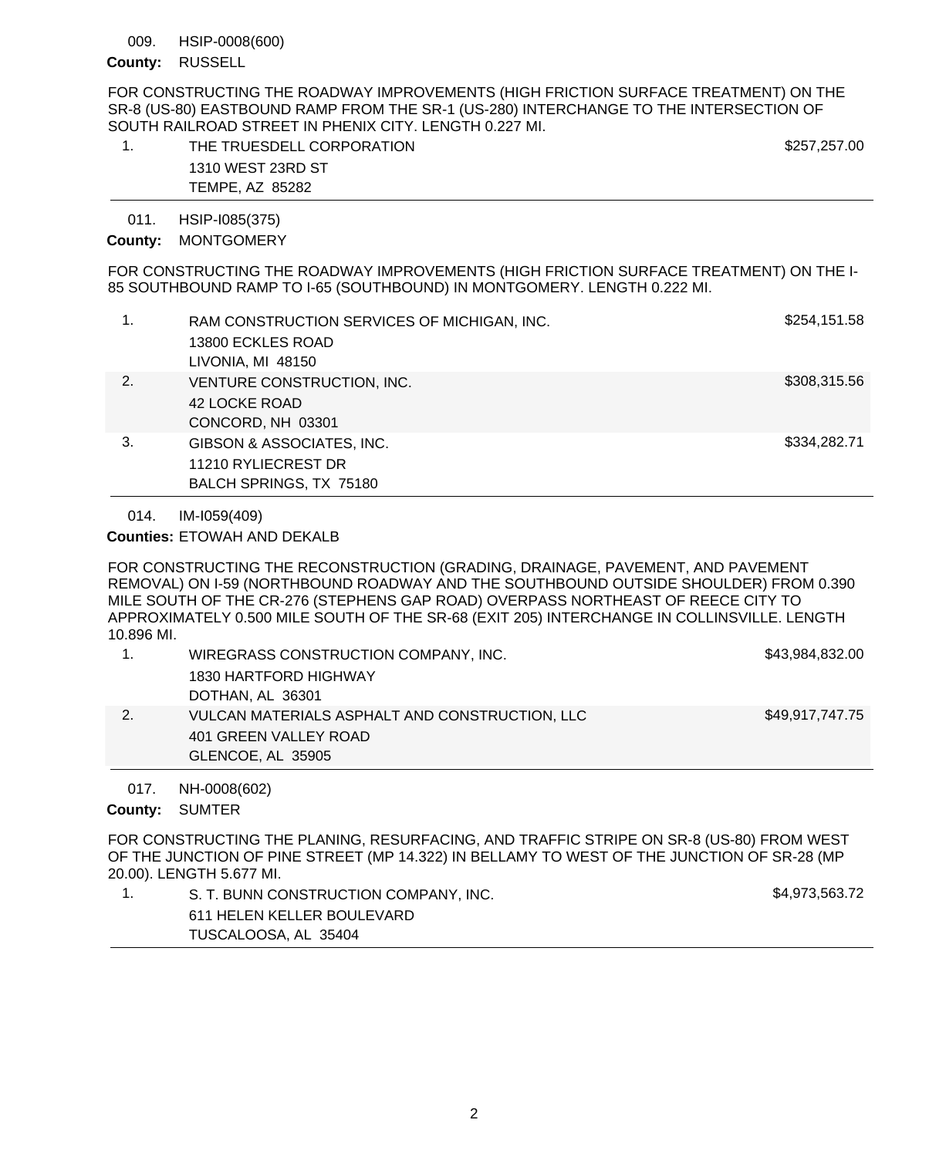### HSIP-0008(600) 009.

## County: RUSSELL

FOR CONSTRUCTING THE ROADWAY IMPROVEMENTS (HIGH FRICTION SURFACE TREATMENT) ON THE SR-8 (US-80) EASTBOUND RAMP FROM THE SR-1 (US-280) INTERCHANGE TO THE INTERSECTION OF SOUTH RAILROAD STREET IN PHENIX CITY. LENGTH 0.227 MI.

| THE TRUESDELL CORPORATION | \$257,257.00 |
|---------------------------|--------------|
| 1310 WEST 23RD ST         |              |
| TEMPE, AZ 85282           |              |

### HSIP-I085(375) 011.

# County: MONTGOMERY

FOR CONSTRUCTING THE ROADWAY IMPROVEMENTS (HIGH FRICTION SURFACE TREATMENT) ON THE I-85 SOUTHBOUND RAMP TO I-65 (SOUTHBOUND) IN MONTGOMERY. LENGTH 0.222 MI.

|    | RAM CONSTRUCTION SERVICES OF MICHIGAN, INC.<br>13800 ECKLES ROAD<br>LIVONIA, MI 48150 | \$254,151.58 |
|----|---------------------------------------------------------------------------------------|--------------|
| 2. | VENTURE CONSTRUCTION, INC.<br>42 LOCKE ROAD<br>CONCORD, NH 03301                      | \$308,315.56 |
| 3. | GIBSON & ASSOCIATES, INC.<br>11210 RYLIECREST DR<br>BALCH SPRINGS, TX 75180           | \$334,282.71 |

IM-I059(409) 014.

**Counties: ETOWAH AND DEKALB** 

FOR CONSTRUCTING THE RECONSTRUCTION (GRADING, DRAINAGE, PAVEMENT, AND PAVEMENT REMOVAL) ON I-59 (NORTHBOUND ROADWAY AND THE SOUTHBOUND OUTSIDE SHOULDER) FROM 0.390 MILE SOUTH OF THE CR-276 (STEPHENS GAP ROAD) OVERPASS NORTHEAST OF REECE CITY TO APPROXIMATELY 0.500 MILE SOUTH OF THE SR-68 (EXIT 205) INTERCHANGE IN COLLINSVILLE. LENGTH 10.896 MI.

| WIREGRASS CONSTRUCTION COMPANY, INC.           | \$43,984,832.00 |
|------------------------------------------------|-----------------|
| 1830 HARTFORD HIGHWAY                          |                 |
| DOTHAN, AL 36301                               |                 |
| VULCAN MATERIALS ASPHALT AND CONSTRUCTION, LLC | \$49,917,747.75 |
| 401 GREEN VALLEY ROAD                          |                 |
| GLENCOE, AL 35905                              |                 |

NH-0008(602) 017.

County: SUMTER

FOR CONSTRUCTING THE PLANING, RESURFACING, AND TRAFFIC STRIPE ON SR-8 (US-80) FROM WEST OF THE JUNCTION OF PINE STREET (MP 14.322) IN BELLAMY TO WEST OF THE JUNCTION OF SR-28 (MP 20.00). LENGTH 5.677 MI.

| S. T. BUNN CONSTRUCTION COMPANY, INC. | \$4,973,563.72 |
|---------------------------------------|----------------|
| 611 HELEN KELLER BOULEVARD            |                |
| TUSCALOOSA, AL 35404                  |                |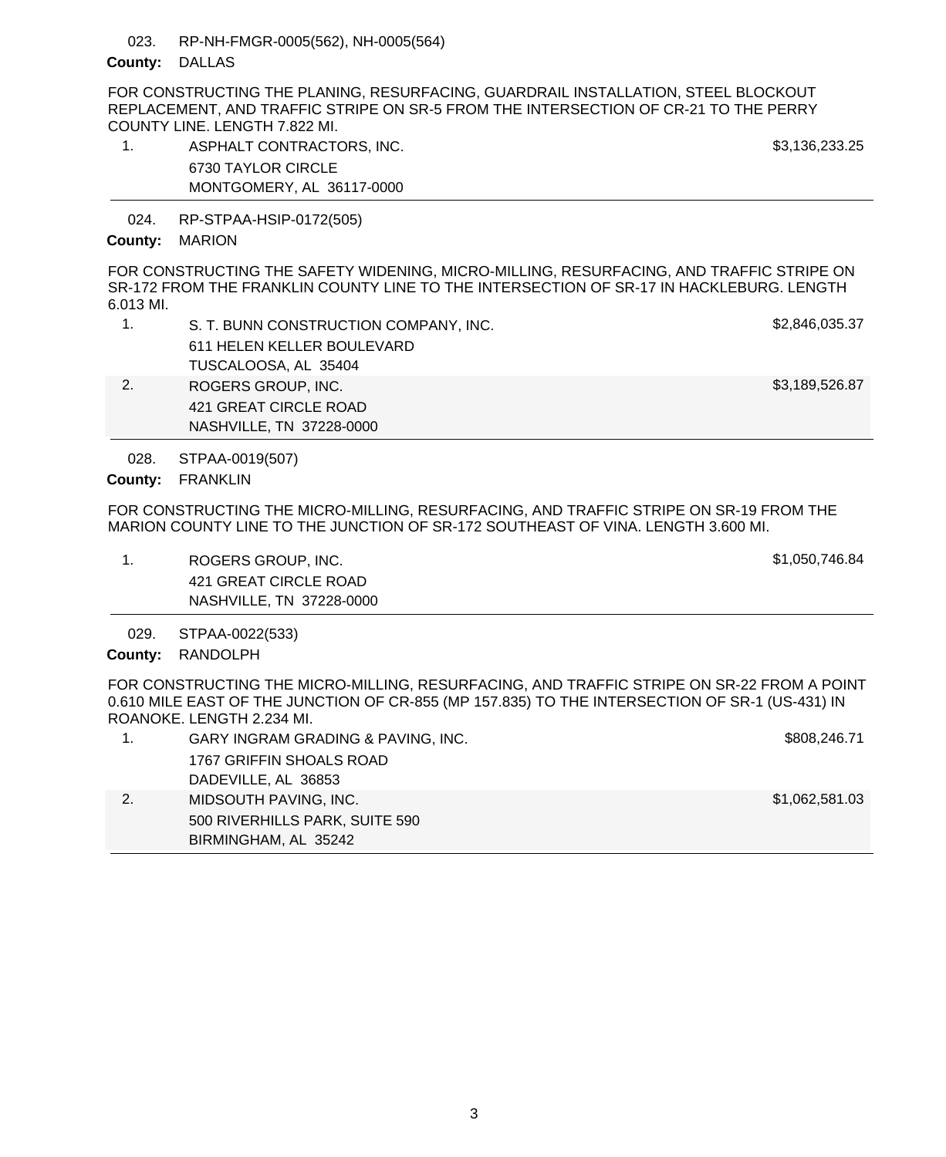#### RP-NH-FMGR-0005(562), NH-0005(564) 023.

## County: DALLAS

FOR CONSTRUCTING THE PLANING, RESURFACING, GUARDRAIL INSTALLATION, STEEL BLOCKOUT REPLACEMENT, AND TRAFFIC STRIPE ON SR-5 FROM THE INTERSECTION OF CR-21 TO THE PERRY COUNTY LINE. LENGTH 7.822 MI.

1. ASPHALT CONTRACTORS, INC. And the state of the state of the state of the state of the state of the state of the state of the state of the state of the state of the state of the state of the state of the state of the sta 6730 TAYLOR CIRCLE MONTGOMERY, AL 36117-0000

RP-STPAA-HSIP-0172(505) 024.

### County: MARION

FOR CONSTRUCTING THE SAFETY WIDENING, MICRO-MILLING, RESURFACING, AND TRAFFIC STRIPE ON SR-172 FROM THE FRANKLIN COUNTY LINE TO THE INTERSECTION OF SR-17 IN HACKLEBURG. LENGTH 6.013 MI.

| S. T. BUNN CONSTRUCTION COMPANY, INC. | \$2,846,035.37 |
|---------------------------------------|----------------|
| 611 HELEN KELLER BOULEVARD            |                |
| TUSCALOOSA, AL 35404                  |                |
| ROGERS GROUP, INC.                    | \$3,189,526.87 |
| 421 GREAT CIRCLE ROAD                 |                |

STPAA-0019(507) 028.

County: FRANKLIN

FOR CONSTRUCTING THE MICRO-MILLING, RESURFACING, AND TRAFFIC STRIPE ON SR-19 FROM THE MARION COUNTY LINE TO THE JUNCTION OF SR-172 SOUTHEAST OF VINA. LENGTH 3.600 MI.

1. ROGERS GROUP, INC. \$1,050,746.84 421 GREAT CIRCLE ROAD NASHVILLE, TN 37228-0000

NASHVILLE, TN 37228-0000

STPAA-0022(533) 029.

County: RANDOLPH

FOR CONSTRUCTING THE MICRO-MILLING, RESURFACING, AND TRAFFIC STRIPE ON SR-22 FROM A POINT 0.610 MILE EAST OF THE JUNCTION OF CR-855 (MP 157.835) TO THE INTERSECTION OF SR-1 (US-431) IN ROANOKE. LENGTH 2.234 MI.

|    | GARY INGRAM GRADING & PAVING, INC. | \$808,246.71   |
|----|------------------------------------|----------------|
|    | 1767 GRIFFIN SHOALS ROAD           |                |
|    | DADEVILLE, AL 36853                |                |
| 2. | MIDSOUTH PAVING, INC.              | \$1,062,581.03 |
|    | 500 RIVERHILLS PARK, SUITE 590     |                |
|    | BIRMINGHAM, AL 35242               |                |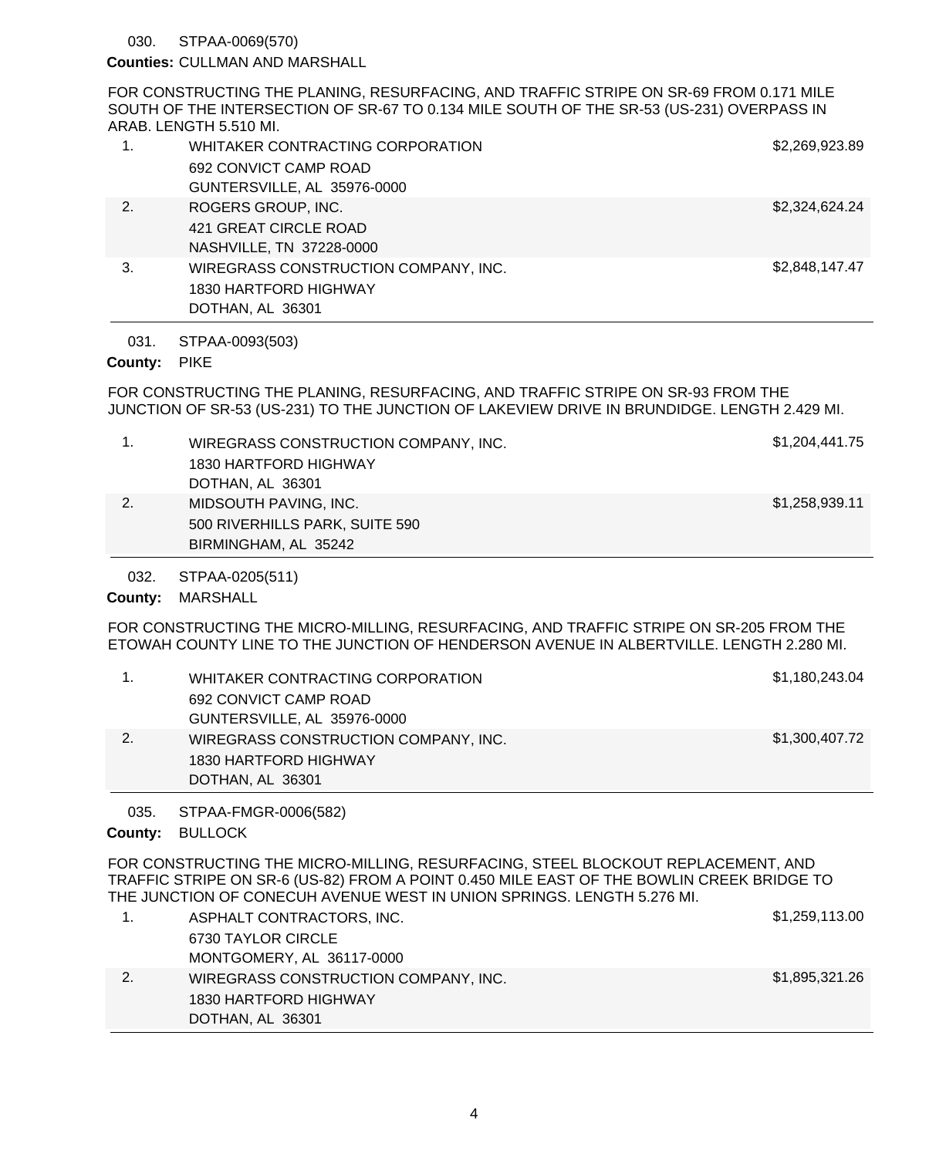#### STPAA-0069(570) 030.

### Counties: CULLMAN AND MARSHALL

FOR CONSTRUCTING THE PLANING, RESURFACING, AND TRAFFIC STRIPE ON SR-69 FROM 0.171 MILE SOUTH OF THE INTERSECTION OF SR-67 TO 0.134 MILE SOUTH OF THE SR-53 (US-231) OVERPASS IN ARAB. LENGTH 5.510 MI.

| $\overline{1}$ . | WHITAKER CONTRACTING CORPORATION     | \$2,269,923.89 |
|------------------|--------------------------------------|----------------|
|                  | 692 CONVICT CAMP ROAD                |                |
|                  | GUNTERSVILLE, AL 35976-0000          |                |
| 2.               | ROGERS GROUP, INC.                   | \$2,324,624.24 |
|                  | 421 GREAT CIRCLE ROAD                |                |
|                  | NASHVILLE, TN 37228-0000             |                |
| 3.               | WIREGRASS CONSTRUCTION COMPANY, INC. | \$2,848,147.47 |
|                  | 1830 HARTFORD HIGHWAY                |                |
|                  | DOTHAN, AL 36301                     |                |

#### STPAA-0093(503) 031.

## County: PIKE

FOR CONSTRUCTING THE PLANING, RESURFACING, AND TRAFFIC STRIPE ON SR-93 FROM THE JUNCTION OF SR-53 (US-231) TO THE JUNCTION OF LAKEVIEW DRIVE IN BRUNDIDGE. LENGTH 2.429 MI.

|    | WIREGRASS CONSTRUCTION COMPANY, INC. | \$1,204,441.75 |
|----|--------------------------------------|----------------|
|    | 1830 HARTFORD HIGHWAY                |                |
|    | DOTHAN, AL 36301                     |                |
| 2. | MIDSOUTH PAVING, INC.                | \$1,258,939.11 |
|    | 500 RIVERHILLS PARK, SUITE 590       |                |
|    | BIRMINGHAM, AL 35242                 |                |

STPAA-0205(511) 032.

County: MARSHALL

FOR CONSTRUCTING THE MICRO-MILLING, RESURFACING, AND TRAFFIC STRIPE ON SR-205 FROM THE ETOWAH COUNTY LINE TO THE JUNCTION OF HENDERSON AVENUE IN ALBERTVILLE. LENGTH 2.280 MI.

|    | WHITAKER CONTRACTING CORPORATION     | \$1,180,243.04 |
|----|--------------------------------------|----------------|
|    | 692 CONVICT CAMP ROAD                |                |
|    | GUNTERSVILLE, AL 35976-0000          |                |
| 2. | WIREGRASS CONSTRUCTION COMPANY, INC. | \$1,300,407.72 |
|    | 1830 HARTFORD HIGHWAY                |                |
|    | DOTHAN, AL 36301                     |                |

STPAA-FMGR-0006(582) 035.

County: BULLOCK

FOR CONSTRUCTING THE MICRO-MILLING, RESURFACING, STEEL BLOCKOUT REPLACEMENT, AND TRAFFIC STRIPE ON SR-6 (US-82) FROM A POINT 0.450 MILE EAST OF THE BOWLIN CREEK BRIDGE TO THE JUNCTION OF CONECUH AVENUE WEST IN UNION SPRINGS. LENGTH 5.276 MI.

| ASPHALT CONTRACTORS, INC.            | \$1,259,113.00 |
|--------------------------------------|----------------|
| 6730 TAYLOR CIRCLE                   |                |
| MONTGOMERY, AL 36117-0000            |                |
| WIREGRASS CONSTRUCTION COMPANY, INC. | \$1,895,321.26 |
| 1830 HARTFORD HIGHWAY                |                |
| DOTHAN, AL 36301                     |                |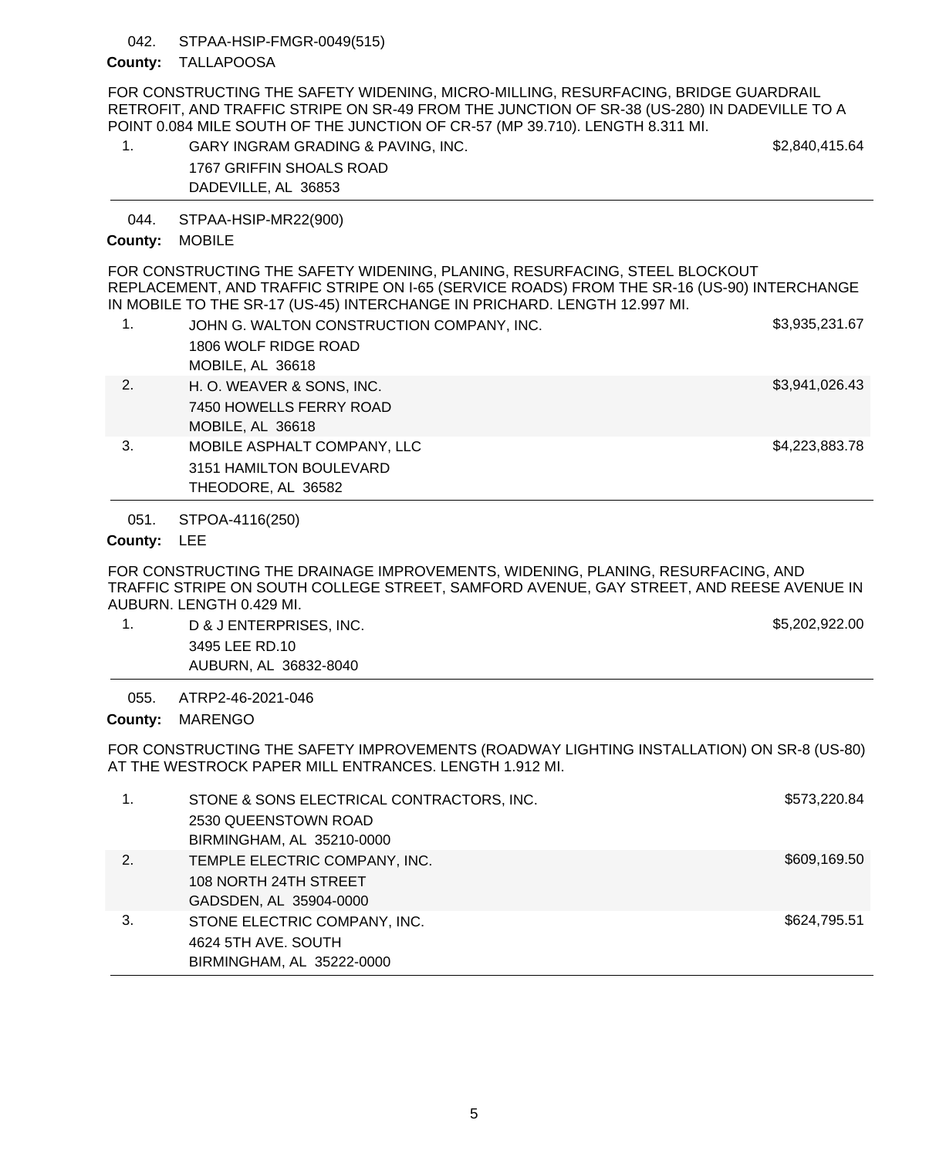### STPAA-HSIP-FMGR-0049(515) 042.

# County: TALLAPOOSA

FOR CONSTRUCTING THE SAFETY WIDENING, MICRO-MILLING, RESURFACING, BRIDGE GUARDRAIL RETROFIT, AND TRAFFIC STRIPE ON SR-49 FROM THE JUNCTION OF SR-38 (US-280) IN DADEVILLE TO A POINT 0.084 MILE SOUTH OF THE JUNCTION OF CR-57 (MP 39.710). LENGTH 8.311 MI.

| GARY INGRAM GRADING & PAVING, INC. | \$2,840,415.64 |
|------------------------------------|----------------|
| 1767 GRIFFIN SHOALS ROAD           |                |
| DADEVILLE, AL 36853                |                |

STPAA-HSIP-MR22(900) 044.

# County: MOBILE

FOR CONSTRUCTING THE SAFETY WIDENING, PLANING, RESURFACING, STEEL BLOCKOUT REPLACEMENT, AND TRAFFIC STRIPE ON I-65 (SERVICE ROADS) FROM THE SR-16 (US-90) INTERCHANGE IN MOBILE TO THE SR-17 (US-45) INTERCHANGE IN PRICHARD. LENGTH 12.997 MI.

| 1. | JOHN G. WALTON CONSTRUCTION COMPANY, INC.<br>1806 WOLF RIDGE ROAD<br>MOBILE, AL 36618 | \$3,935,231.67 |
|----|---------------------------------------------------------------------------------------|----------------|
| 2. | H. O. WEAVER & SONS, INC.<br>7450 HOWELLS FERRY ROAD<br>MOBILE, AL 36618              | \$3,941,026.43 |
| 3. | MOBILE ASPHALT COMPANY, LLC<br>3151 HAMILTON BOULEVARD<br>THEODORE, AL 36582          | \$4,223,883.78 |

STPOA-4116(250) 051.

# County: LEE

FOR CONSTRUCTING THE DRAINAGE IMPROVEMENTS, WIDENING, PLANING, RESURFACING, AND TRAFFIC STRIPE ON SOUTH COLLEGE STREET, SAMFORD AVENUE, GAY STREET, AND REESE AVENUE IN AUBURN. LENGTH 0.429 MI.

- 1. D & J ENTERPRISES, INC. \$5,202,922.00
	- 3495 LEE RD.10 AUBURN, AL 36832-8040

ATRP2-46-2021-046 055.

County: MARENGO

FOR CONSTRUCTING THE SAFETY IMPROVEMENTS (ROADWAY LIGHTING INSTALLATION) ON SR-8 (US-80) AT THE WESTROCK PAPER MILL ENTRANCES. LENGTH 1.912 MI.

|    | STONE & SONS ELECTRICAL CONTRACTORS, INC.<br>2530 QUEENSTOWN ROAD<br>BIRMINGHAM, AL 35210-0000 | \$573,220.84 |
|----|------------------------------------------------------------------------------------------------|--------------|
| 2. | TEMPLE ELECTRIC COMPANY, INC.<br>108 NORTH 24TH STREET<br>GADSDEN, AL 35904-0000               | \$609,169.50 |
| 3. | STONE ELECTRIC COMPANY, INC.<br>4624 5TH AVE, SOUTH<br>BIRMINGHAM, AL 35222-0000               | \$624,795.51 |